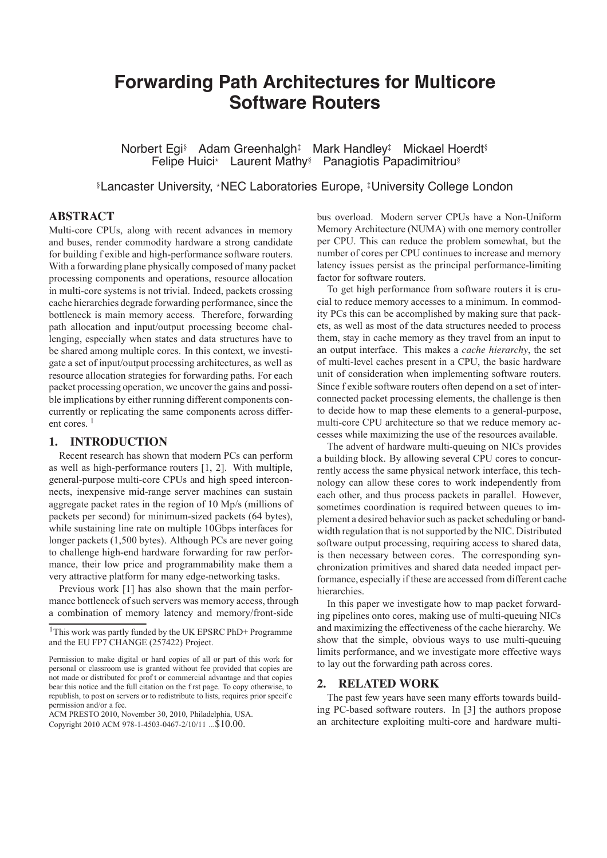# **Forwarding Path Architectures for Multicore Software Routers**

Norbert Egi<sup>§</sup> Adam Greenhalgh<sup>‡</sup> Mark Handley<sup>‡</sup> Mickael Hoerdt<sup>§</sup> Felipe Huici\* Laurent Mathy<sup>§</sup> Panagiotis Papadimitriou<sup>§</sup>

**SLancaster University, \*NEC Laboratories Europe, #University College London** 

# **ABSTRACT**

Multi-core CPUs, along with recent advances in memory and buses, render commodity hardware a strong candidate for building f exible and high-performance software routers. With a forwarding plane physically composed of many packet processing components and operations, resource allocation in multi-core systems is not trivial. Indeed, packets crossing cache hierarchies degrade forwarding performance, since the bottleneck is main memory access. Therefore, forwarding path allocation and input/output processing become challenging, especially when states and data structures have to be shared among multiple cores. In this context, we investigate a set of input/output processing architectures, as well as resource allocation strategies for forwarding paths. For each packet processing operation, we uncover the gains and possible implications by either running different components concurrently or replicating the same components across different cores.  $1$ 

## 1. INTRODUCTION

Recent research has shown that modern PCs can perform as well as high-performance routers [1, 2]. With multiple, general-purpose multi-core CPUs and high speed interconnects, inexpensive mid-range server machines can sustain aggregate packet rates in the region of 10 Mp/s (millions of packets per second) for minimum-sized packets (64 bytes), while sustaining line rate on multiple 10Gbps interfaces for longer packets (1,500 bytes). Although PCs are never going to challenge high-end hardware forwarding for raw performance, their low price and programmability make them a very attractive platform for many edge-networking tasks.

Previous work [1] has also shown that the main performance bottleneck of such servers was memory access, through a combination of memory latency and memory/front-side

ACM PRESTO 2010, November 30, 2010, Philadelphia, USA. Copyright 2010 ACM 978-1-4503-0467-2/10/11 ... \$10.00.

bus overload. Modern server CPUs have a Non-Uniform Memory Architecture (NUMA) with one memory controller per CPU. This can reduce the problem somewhat, but the number of cores per CPU continues to increase and memory latency issues persist as the principal performance-limiting factor for software routers.

To get high performance from software routers it is crucial to reduce memory accesses to a minimum. In commodity PCs this can be accomplished by making sure that packets, as well as most of the data structures needed to process them, stay in cache memory as they travel from an input to an output interface. This makes a cache hierarchy, the set of multi-level caches present in a CPU, the basic hardware unit of consideration when implementing software routers. Since f exible software routers often depend on a set of interconnected packet processing elements, the challenge is then to decide how to map these elements to a general-purpose, multi-core CPU architecture so that we reduce memory accesses while maximizing the use of the resources available.

The advent of hardware multi-queuing on NICs provides a building block. By allowing several CPU cores to concurrently access the same physical network interface, this technology can allow these cores to work independently from each other, and thus process packets in parallel. However, sometimes coordination is required between queues to implement a desired behavior such as packet scheduling or bandwidth regulation that is not supported by the NIC. Distributed software output processing, requiring access to shared data. is then necessary between cores. The corresponding synchronization primitives and shared data needed impact performance, especially if these are accessed from different cache hierarchies.

In this paper we investigate how to map packet forwarding pipelines onto cores, making use of multi-queuing NICs and maximizing the effectiveness of the cache hierarchy. We show that the simple, obvious ways to use multi-queuing limits performance, and we investigate more effective ways to lay out the forwarding path across cores.

#### $2.$ **RELATED WORK**

The past few years have seen many efforts towards building PC-based software routers. In [3] the authors propose an architecture exploiting multi-core and hardware multi-

<sup>&</sup>lt;sup>1</sup>This work was partly funded by the UK EPSRC PhD+ Programme and the EU FP7 CHANGE (257422) Project.

Permission to make digital or hard copies of all or part of this work for personal or classroom use is granted without fee provided that copies are not made or distributed for prof t or commercial advantage and that copies bear this notice and the full citation on the f rst page. To copy otherwise, to republish, to post on servers or to redistribute to lists, requires prior specif c permission and/or a fee.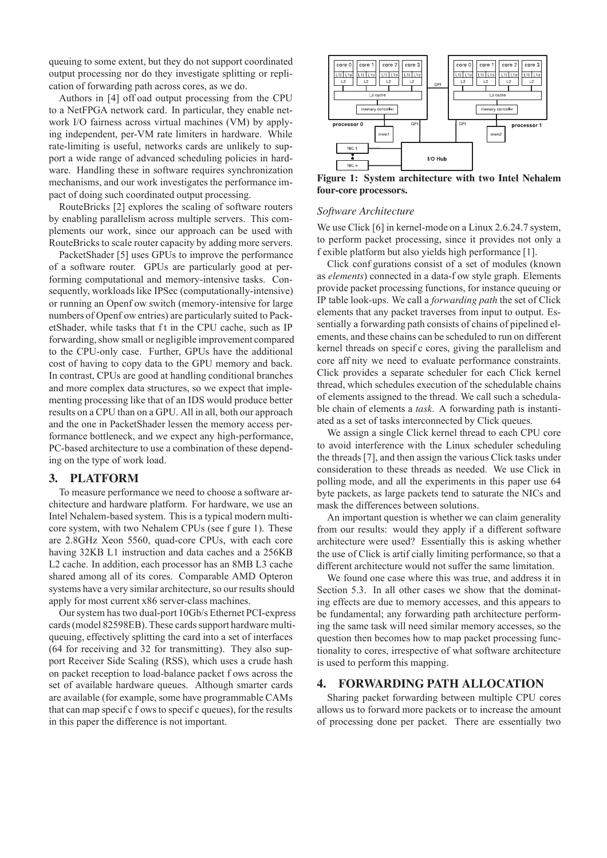queuing to some extent, but they do not support coordinated output processing nor do they investigate splitting or replication of forwarding path across cores, as we do.

Authors in [4] off oad output processing from the CPU to a NetFPGA network card. In particular, they enable network I/O fairness across virtual machines (VM) by applying independent, per-VM rate limiters in hardware. While rate-limiting is useful, networks cards are unlikely to support a wide range of advanced scheduling policies in hardware. Handling these in software requires synchronization mechanisms, and our work investigates the performance impact of doing such coordinated output processing.

RouteBricks [2] explores the scaling of software routers by enabling parallelism across multiple servers. This complements our work, since our approach can be used with RouteBricks to scale router capacity by adding more servers.

PacketShader [5] uses GPUs to improve the performance of a software router. GPUs are particularly good at performing computational and memory-intensive tasks. Consequently, workloads like IPSec (computationally-intensive) or running an Openf ow switch (memory-intensive for large numbers of Openf ow entries) are particularly suited to PacketShader, while tasks that ft in the CPU cache, such as IP forwarding, show small or negligible improvement compared to the CPU-only case. Further, GPUs have the additional cost of having to copy data to the GPU memory and back. In contrast, CPUs are good at handling conditional branches and more complex data structures, so we expect that implementing processing like that of an IDS would produce better results on a CPU than on a GPU. All in all, both our approach and the one in PacketShader lessen the memory access performance bottleneck, and we expect any high-performance, PC-based architecture to use a combination of these depending on the type of work load.

#### **PLATFORM 3.**

To measure performance we need to choose a software architecture and hardware platform. For hardware, we use an Intel Nehalem-based system. This is a typical modern multicore system, with two Nehalem CPUs (see f gure 1). These are 2.8GHz Xeon 5560, quad-core CPUs, with each core having 32KB L1 instruction and data caches and a 256KB L2 cache. In addition, each processor has an 8MB L3 cache shared among all of its cores. Comparable AMD Opteron systems have a very similar architecture, so our results should apply for most current x86 server-class machines.

Our system has two dual-port 10Gb/s Ethernet PCI-express cards (model 82598EB). These cards support hardware multiqueuing, effectively splitting the card into a set of interfaces (64 for receiving and 32 for transmitting). They also support Receiver Side Scaling (RSS), which uses a crude hash on packet reception to load-balance packet f ows across the set of available hardware queues. Although smarter cards are available (for example, some have programmable CAMs that can map specif c f ows to specif c queues), for the results in this paper the difference is not important.



Figure 1: System architecture with two Intel Nehalem four-core processors.

### Software Architecture

We use Click [6] in kernel-mode on a Linux 2.6.24.7 system, to perform packet processing, since it provides not only a f exible platform but also yields high performance [1].

Click configurations consist of a set of modules (known as elements) connected in a data-f ow style graph. Elements provide packet processing functions, for instance queuing or IP table look-ups. We call a *forwarding path* the set of Click elements that any packet traverses from input to output. Essentially a forwarding path consists of chains of pipelined elements, and these chains can be scheduled to run on different kernel threads on specific cores, giving the parallelism and core aff nity we need to evaluate performance constraints. Click provides a separate scheduler for each Click kernel thread, which schedules execution of the schedulable chains of elements assigned to the thread. We call such a schedulable chain of elements a *task*. A forwarding path is instantiated as a set of tasks interconnected by Click queues.

We assign a single Click kernel thread to each CPU core to avoid interference with the Linux scheduler scheduling the threads [7], and then assign the various Click tasks under consideration to these threads as needed. We use Click in polling mode, and all the experiments in this paper use 64 byte packets, as large packets tend to saturate the NICs and mask the differences between solutions.

An important question is whether we can claim generality from our results: would they apply if a different software architecture were used? Essentially this is asking whether the use of Click is artificially limiting performance, so that a different architecture would not suffer the same limitation.

We found one case where this was true, and address it in Section 5.3. In all other cases we show that the dominating effects are due to memory accesses, and this appears to be fundamental; any forwarding path architecture performing the same task will need similar memory accesses, so the question then becomes how to map packet processing functionality to cores, irrespective of what software architecture is used to perform this mapping.

#### **FORWARDING PATH ALLOCATION** 4.

Sharing packet forwarding between multiple CPU cores allows us to forward more packets or to increase the amount of processing done per packet. There are essentially two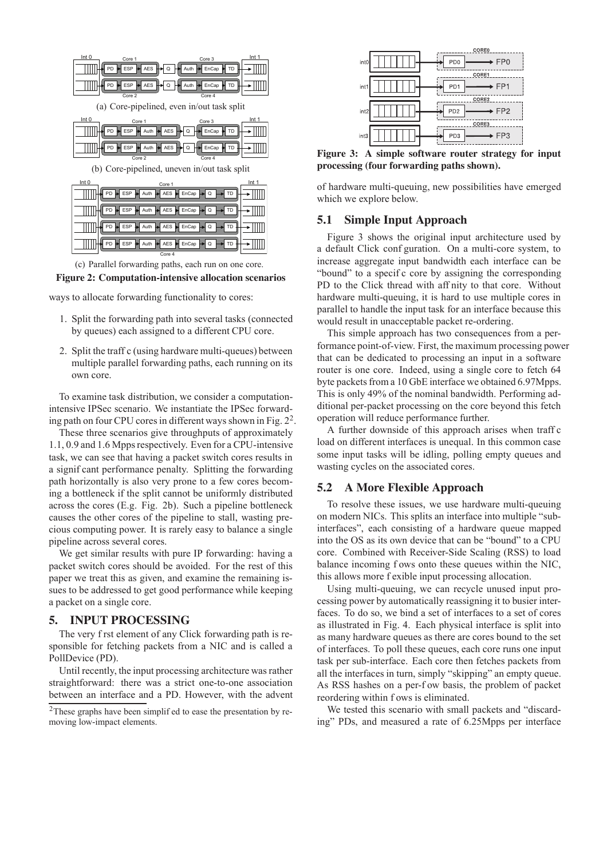

(c) Parallel forwarding paths, each run on one core.



ways to allocate forwarding functionality to cores:

- 1. Split the forwarding path into several tasks (connected by queues) each assigned to a different CPU core.
- 2. Split the traff c (using hardware multi-queues) between multiple parallel forwarding paths, each running on its own core.

To examine task distribution, we consider a computationintensive IPSec scenario. We instantiate the IPSec forwarding path on four CPU cores in different ways shown in Fig. 2<sup>2</sup>.

These three scenarios give throughputs of approximately 1.1, 0.9 and 1.6 Mpps respectively. Even for a CPU-intensive task, we can see that having a packet switch cores results in a significant performance penalty. Splitting the forwarding path horizontally is also very prone to a few cores becoming a bottleneck if the split cannot be uniformly distributed across the cores (E.g. Fig. 2b). Such a pipeline bottleneck causes the other cores of the pipeline to stall, wasting precious computing power. It is rarely easy to balance a single pipeline across several cores.

We get similar results with pure IP forwarding: having a packet switch cores should be avoided. For the rest of this paper we treat this as given, and examine the remaining issues to be addressed to get good performance while keeping a packet on a single core.

#### $\overline{5}$ . **INPUT PROCESSING**

The very f rst element of any Click forwarding path is responsible for fetching packets from a NIC and is called a PollDevice (PD).

Until recently, the input processing architecture was rather straightforward: there was a strict one-to-one association between an interface and a PD. However, with the advent

| int0             | <b>CORE0</b><br>FP <sub>0</sub><br>PD <sub>0</sub> |
|------------------|----------------------------------------------------|
| int              | CORE1<br>FP <sub>1</sub><br>PD <sub>1</sub>        |
| int <sub>2</sub> | CORE2<br>FP <sub>2</sub><br>PD <sub>2</sub>        |
| int3             | CORE3<br>FP <sub>3</sub><br>PD <sub>3</sub>        |

Figure 3: A simple software router strategy for input processing (four forwarding paths shown).

of hardware multi-queuing, new possibilities have emerged which we explore below.

#### **Simple Input Approach**  $5.1$

Figure 3 shows the original input architecture used by a default Click conf guration. On a multi-core system, to increase aggregate input bandwidth each interface can be "bound" to a specific core by assigning the corresponding PD to the Click thread with aff nity to that core. Without hardware multi-queuing, it is hard to use multiple cores in parallel to handle the input task for an interface because this would result in unacceptable packet re-ordering.

This simple approach has two consequences from a performance point-of-view. First, the maximum processing power that can be dedicated to processing an input in a software router is one core. Indeed, using a single core to fetch 64 byte packets from a 10 GbE interface we obtained 6.97Mpps. This is only 49% of the nominal bandwidth. Performing additional per-packet processing on the core beyond this fetch operation will reduce performance further.

A further downside of this approach arises when traff c load on different interfaces is unequal. In this common case some input tasks will be idling, polling empty queues and wasting cycles on the associated cores.

#### $5.2$ **A More Flexible Approach**

To resolve these issues, we use hardware multi-queuing on modern NICs. This splits an interface into multiple "subinterfaces", each consisting of a hardware queue mapped into the OS as its own device that can be "bound" to a CPU core. Combined with Receiver-Side Scaling (RSS) to load balance incoming f ows onto these queues within the NIC, this allows more f exible input processing allocation.

Using multi-queuing, we can recycle unused input processing power by automatically reassigning it to busier interfaces. To do so, we bind a set of interfaces to a set of cores as illustrated in Fig. 4. Each physical interface is split into as many hardware queues as there are cores bound to the set of interfaces. To poll these queues, each core runs one input task per sub-interface. Each core then fetches packets from all the interfaces in turn, simply "skipping" an empty queue. As RSS hashes on a per-f ow basis, the problem of packet reordering within f ows is eliminated.

We tested this scenario with small packets and "discarding" PDs, and measured a rate of 6.25Mpps per interface

<sup>&</sup>lt;sup>2</sup>These graphs have been simplif ed to ease the presentation by removing low-impact elements.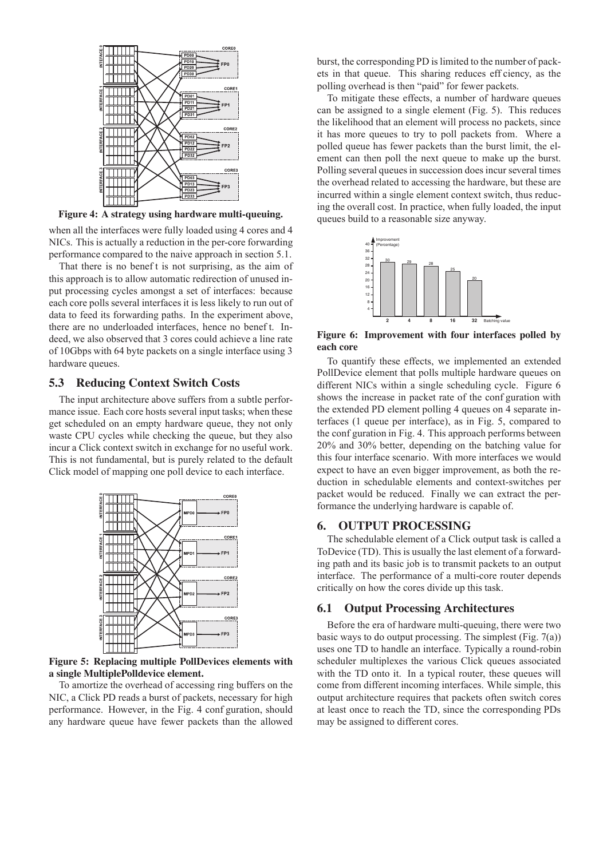

Figure 4: A strategy using hardware multi-queuing.

when all the interfaces were fully loaded using 4 cores and 4 NICs. This is actually a reduction in the per-core forwarding performance compared to the naive approach in section 5.1.

That there is no beneft is not surprising, as the aim of this approach is to allow automatic redirection of unused input processing cycles amongst a set of interfaces: because each core polls several interfaces it is less likely to run out of data to feed its forwarding paths. In the experiment above, there are no underloaded interfaces, hence no benef t. Indeed, we also observed that 3 cores could achieve a line rate of 10Gbps with 64 byte packets on a single interface using 3 hardware queues.

### **5.3 Reducing Context Switch Costs**

The input architecture above suffers from a subtle performance issue. Each core hosts several input tasks; when these get scheduled on an empty hardware queue, they not only waste CPU cycles while checking the queue, but they also incur a Click context switch in exchange for no useful work. This is not fundamental, but is purely related to the default Click model of mapping one poll device to each interface.



Figure 5: Replacing multiple PollDevices elements with a single MultiplePolldevice element.

To amortize the overhead of accessing ring buffers on the NIC, a Click PD reads a burst of packets, necessary for high performance. However, in the Fig. 4 conf guration, should any hardware queue have fewer packets than the allowed

burst, the corresponding PD is limited to the number of packets in that queue. This sharing reduces eff ciency, as the polling overhead is then "paid" for fewer packets.

To mitigate these effects, a number of hardware queues can be assigned to a single element (Fig. 5). This reduces the likelihood that an element will process no packets, since it has more queues to try to poll packets from. Where a polled queue has fewer packets than the burst limit, the element can then poll the next queue to make up the burst. Polling several queues in succession does incur several times the overhead related to accessing the hardware, but these are incurred within a single element context switch, thus reducing the overall cost. In practice, when fully loaded, the input queues build to a reasonable size anyway.



Figure 6: Improvement with four interfaces polled by each core

To quantify these effects, we implemented an extended PollDevice element that polls multiple hardware queues on different NICs within a single scheduling cycle. Figure 6 shows the increase in packet rate of the conf guration with the extended PD element polling 4 queues on 4 separate interfaces (1 queue per interface), as in Fig. 5, compared to the conf guration in Fig. 4. This approach performs between 20% and 30% better, depending on the batching value for this four interface scenario. With more interfaces we would expect to have an even bigger improvement, as both the reduction in schedulable elements and context-switches per packet would be reduced. Finally we can extract the performance the underlying hardware is capable of.

#### **OUTPUT PROCESSING** 6.

The schedulable element of a Click output task is called a ToDevice (TD). This is usually the last element of a forwarding path and its basic job is to transmit packets to an output interface. The performance of a multi-core router depends critically on how the cores divide up this task.

#### **Output Processing Architectures** 6.1

Before the era of hardware multi-queuing, there were two basic ways to do output processing. The simplest (Fig.  $7(a)$ ) uses one TD to handle an interface. Typically a round-robin scheduler multiplexes the various Click queues associated with the TD onto it. In a typical router, these queues will come from different incoming interfaces. While simple, this output architecture requires that packets often switch cores at least once to reach the TD, since the corresponding PDs may be assigned to different cores.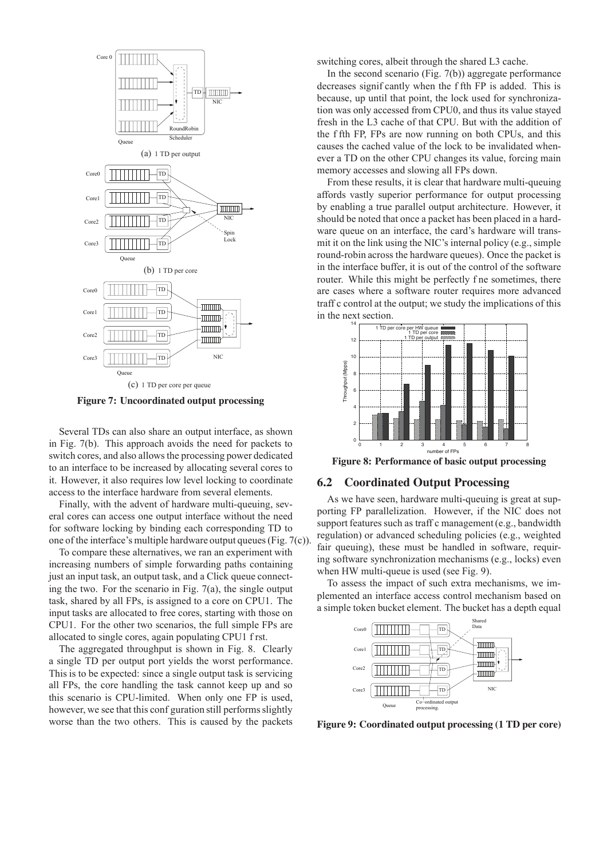

Figure 7: Uncoordinated output processing

Several TDs can also share an output interface, as shown in Fig. 7(b). This approach avoids the need for packets to switch cores, and also allows the processing power dedicated to an interface to be increased by allocating several cores to it. However, it also requires low level locking to coordinate access to the interface hardware from several elements.

Finally, with the advent of hardware multi-queuing, several cores can access one output interface without the need for software locking by binding each corresponding TD to one of the interface's multiple hardware output queues (Fig.  $7(c)$ ).

To compare these alternatives, we ran an experiment with increasing numbers of simple forwarding paths containing just an input task, an output task, and a Click queue connecting the two. For the scenario in Fig.  $7(a)$ , the single output task, shared by all FPs, is assigned to a core on CPU1. The input tasks are allocated to free cores, starting with those on CPU1. For the other two scenarios, the full simple FPs are allocated to single cores, again populating CPU1 f rst.

The aggregated throughput is shown in Fig. 8. Clearly a single TD per output port yields the worst performance. This is to be expected: since a single output task is servicing all FPs, the core handling the task cannot keep up and so this scenario is CPU-limited. When only one FP is used, however, we see that this configuration still performs slightly worse than the two others. This is caused by the packets switching cores, albeit through the shared L3 cache.

In the second scenario (Fig.  $7(b)$ ) aggregate performance decreases significantly when the f fth FP is added. This is because, up until that point, the lock used for synchronization was only accessed from CPU0, and thus its value stayed fresh in the L3 cache of that CPU. But with the addition of the f fth FP. FPs are now running on both CPUs, and this causes the cached value of the lock to be invalidated whenever a TD on the other CPU changes its value, forcing main memory accesses and slowing all FPs down.

From these results, it is clear that hardware multi-queuing affords vastly superior performance for output processing by enabling a true parallel output architecture. However, it should be noted that once a packet has been placed in a hardware queue on an interface, the card's hardware will transmit it on the link using the NIC's internal policy (e.g., simple round-robin across the hardware queues). Once the packet is in the interface buffer, it is out of the control of the software router. While this might be perfectly f ne sometimes, there are cases where a software router requires more advanced traff c control at the output; we study the implications of this in the next section.



Figure 8: Performance of basic output processing

#### $6.2$ **Coordinated Output Processing**

As we have seen, hardware multi-queuing is great at supporting FP parallelization. However, if the NIC does not support features such as traff c management (e.g., bandwidth regulation) or advanced scheduling policies (e.g., weighted fair queuing), these must be handled in software, requiring software synchronization mechanisms (e.g., locks) even when HW multi-queue is used (see Fig. 9).

To assess the impact of such extra mechanisms, we implemented an interface access control mechanism based on a simple token bucket element. The bucket has a depth equal



Figure 9: Coordinated output processing (1 TD per core)